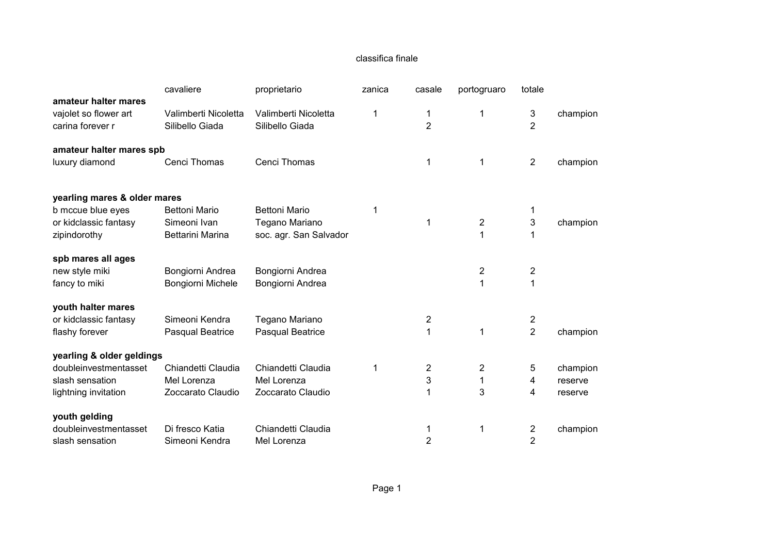|                              | cavaliere               | proprietario           | zanica | casale                  | portogruaro             | totale         |          |
|------------------------------|-------------------------|------------------------|--------|-------------------------|-------------------------|----------------|----------|
| amateur halter mares         |                         |                        |        |                         |                         |                |          |
| vajolet so flower art        | Valimberti Nicoletta    | Valimberti Nicoletta   | 1      | 1                       | 1                       | 3              | champion |
| carina forever r             | Silibello Giada         | Silibello Giada        |        | $\overline{2}$          |                         | 2              |          |
| amateur halter mares spb     |                         |                        |        |                         |                         |                |          |
| luxury diamond               | Cenci Thomas            | Cenci Thomas           |        |                         | 1                       | $\overline{2}$ | champion |
| yearling mares & older mares |                         |                        |        |                         |                         |                |          |
| b mccue blue eyes            | <b>Bettoni Mario</b>    | <b>Bettoni Mario</b>   | 1      |                         |                         |                |          |
| or kidclassic fantasy        | Simeoni Ivan            | Tegano Mariano         |        |                         | $\overline{\mathbf{c}}$ | 3              | champion |
| zipindorothy                 | Bettarini Marina        | soc. agr. San Salvador |        |                         | 1                       |                |          |
| spb mares all ages           |                         |                        |        |                         |                         |                |          |
| new style miki               | Bongiorni Andrea        | Bongiorni Andrea       |        |                         | 2                       | 2              |          |
| fancy to miki                | Bongiorni Michele       | Bongiorni Andrea       |        |                         | 1                       |                |          |
| youth halter mares           |                         |                        |        |                         |                         |                |          |
| or kidclassic fantasy        | Simeoni Kendra          | Tegano Mariano         |        | 2                       |                         | 2              |          |
| flashy forever               | <b>Pasqual Beatrice</b> | Pasqual Beatrice       |        |                         | 1                       | $\overline{2}$ | champion |
| yearling & older geldings    |                         |                        |        |                         |                         |                |          |
| doubleinvestmentasset        | Chiandetti Claudia      | Chiandetti Claudia     | 1      | $\overline{\mathbf{c}}$ | 2                       | 5              | champion |
| slash sensation              | Mel Lorenza             | Mel Lorenza            |        | 3                       | 1                       | 4              | reserve  |
| lightning invitation         | Zoccarato Claudio       | Zoccarato Claudio      |        |                         | 3                       | 4              | reserve  |
| youth gelding                |                         |                        |        |                         |                         |                |          |
| doubleinvestmentasset        | Di fresco Katia         | Chiandetti Claudia     |        |                         | 1                       | 2              | champion |
| slash sensation              | Simeoni Kendra          | Mel Lorenza            |        | $\overline{2}$          |                         | 2              |          |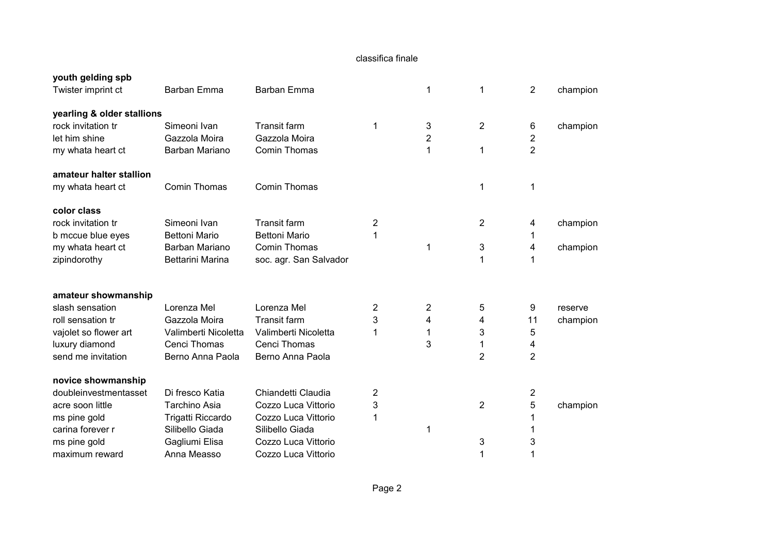| youth gelding spb<br>Twister imprint ct | Barban Emma          | Barban Emma            |        | 1              | 1                   | $\overline{2}$      | champion |
|-----------------------------------------|----------------------|------------------------|--------|----------------|---------------------|---------------------|----------|
| yearling & older stallions              |                      |                        |        |                |                     |                     |          |
| rock invitation tr                      | Simeoni Ivan         | <b>Transit farm</b>    |        | 3              | 2                   | 6                   | champion |
| let him shine                           | Gazzola Moira        | Gazzola Moira          |        | $\overline{2}$ |                     | $\overline{2}$      |          |
| my whata heart ct                       | Barban Mariano       | Comin Thomas           |        | 1              | 1                   | $\overline{2}$      |          |
| amateur halter stallion                 |                      |                        |        |                |                     |                     |          |
| my whata heart ct                       | Comin Thomas         | Comin Thomas           |        |                | 1                   | 1                   |          |
| color class                             |                      |                        |        |                |                     |                     |          |
| rock invitation tr                      | Simeoni Ivan         | <b>Transit farm</b>    | 2      |                | $\overline{c}$      | 4                   | champion |
| b mccue blue eyes                       | <b>Bettoni Mario</b> | <b>Bettoni Mario</b>   | 1      |                |                     | 1                   |          |
| my whata heart ct                       | Barban Mariano       | Comin Thomas           |        | 1              | 3                   | 4                   | champion |
| zipindorothy                            | Bettarini Marina     | soc. agr. San Salvador |        |                | 1                   |                     |          |
| amateur showmanship                     |                      |                        |        |                |                     |                     |          |
| slash sensation                         | Lorenza Mel          | Lorenza Mel            |        |                |                     | 9                   | reserve  |
| roll sensation tr                       | Gazzola Moira        | <b>Transit farm</b>    | 2<br>3 | 2<br>4         | 5                   | 11                  |          |
|                                         | Valimberti Nicoletta | Valimberti Nicoletta   | 1      | 1              | 4<br>3              | 5                   | champion |
| vajolet so flower art                   | Cenci Thomas         | Cenci Thomas           |        | 3              |                     |                     |          |
| luxury diamond<br>send me invitation    | Berno Anna Paola     | Berno Anna Paola       |        |                | 1<br>$\overline{2}$ | 4<br>$\overline{2}$ |          |
|                                         |                      |                        |        |                |                     |                     |          |
| novice showmanship                      |                      |                        |        |                |                     |                     |          |
| doubleinvestmentasset                   | Di fresco Katia      | Chiandetti Claudia     | 2      |                |                     | 2                   |          |
| acre soon little                        | Tarchino Asia        | Cozzo Luca Vittorio    | 3      |                | $\overline{2}$      | 5                   | champion |
| ms pine gold                            | Trigatti Riccardo    | Cozzo Luca Vittorio    |        |                |                     |                     |          |
| carina forever r                        | Silibello Giada      | Silibello Giada        |        | 1              |                     |                     |          |
| ms pine gold                            | Gagliumi Elisa       | Cozzo Luca Vittorio    |        |                | 3                   | 3                   |          |
| maximum reward                          | Anna Measso          | Cozzo Luca Vittorio    |        |                | 1                   |                     |          |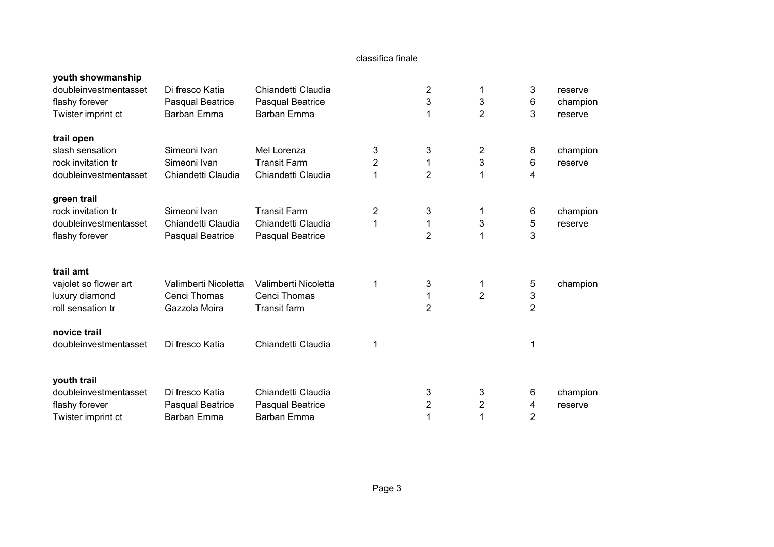| youth showmanship     |                      |                         |                |                |                |                |          |
|-----------------------|----------------------|-------------------------|----------------|----------------|----------------|----------------|----------|
| doubleinvestmentasset | Di fresco Katia      | Chiandetti Claudia      |                | 2              | 1              | 3              | reserve  |
| flashy forever        | Pasqual Beatrice     | <b>Pasqual Beatrice</b> |                | 3              | 3              | 6              | champion |
| Twister imprint ct    | Barban Emma          | Barban Emma             |                | 1              | 2              | 3              | reserve  |
|                       |                      |                         |                |                |                |                |          |
| trail open            |                      |                         |                |                |                |                |          |
| slash sensation       | Simeoni Ivan         | Mel Lorenza             | 3              | 3              | $\overline{2}$ | 8              | champion |
| rock invitation tr    | Simeoni Ivan         | <b>Transit Farm</b>     | $\overline{2}$ | 1              | 3              | 6              | reserve  |
| doubleinvestmentasset | Chiandetti Claudia   | Chiandetti Claudia      | 1              | $\overline{2}$ | 1              | 4              |          |
|                       |                      |                         |                |                |                |                |          |
| green trail           |                      |                         |                |                |                |                |          |
| rock invitation tr    | Simeoni Ivan         | <b>Transit Farm</b>     | $\overline{c}$ | 3              | 1              | 6              | champion |
| doubleinvestmentasset | Chiandetti Claudia   | Chiandetti Claudia      | 1              | 1              | 3              | 5              | reserve  |
| flashy forever        | Pasqual Beatrice     | Pasqual Beatrice        |                | $\overline{2}$ | 1              | 3              |          |
|                       |                      |                         |                |                |                |                |          |
| trail amt             |                      |                         |                |                |                |                |          |
| vajolet so flower art | Valimberti Nicoletta | Valimberti Nicoletta    | 1              | 3              | 1              | 5              | champion |
| luxury diamond        | Cenci Thomas         | Cenci Thomas            |                | 1              | $\overline{2}$ | 3              |          |
| roll sensation tr     | Gazzola Moira        | <b>Transit farm</b>     |                | $\overline{2}$ |                | $\overline{2}$ |          |
|                       |                      |                         |                |                |                |                |          |
| novice trail          |                      |                         |                |                |                |                |          |
| doubleinvestmentasset | Di fresco Katia      | Chiandetti Claudia      | 1              |                |                | 1              |          |
|                       |                      |                         |                |                |                |                |          |
|                       |                      |                         |                |                |                |                |          |
| youth trail           |                      |                         |                |                |                |                |          |
| doubleinvestmentasset | Di fresco Katia      | Chiandetti Claudia      |                | 3              | 3              | 6              | champion |
| flashy forever        |                      |                         |                |                |                |                |          |
|                       | Pasqual Beatrice     | Pasqual Beatrice        |                | $\overline{2}$ | 2              | 4              | reserve  |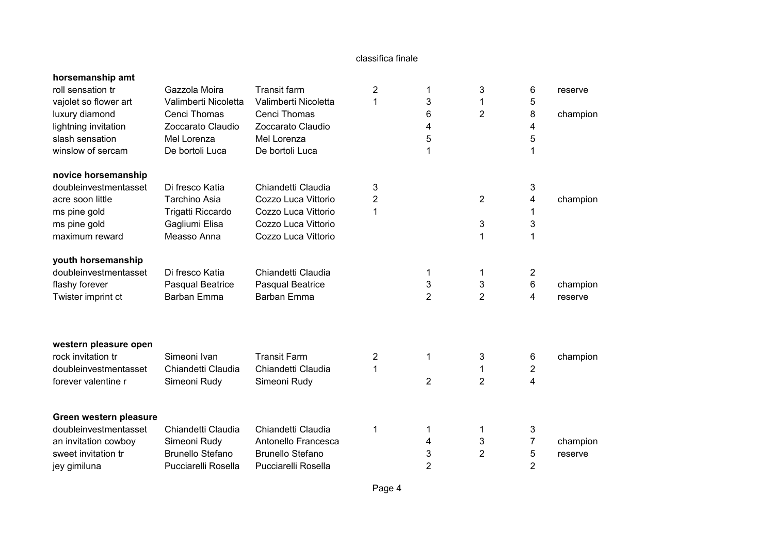| horsemanship amt                            |                         |                         |   |                |                |                |                     |
|---------------------------------------------|-------------------------|-------------------------|---|----------------|----------------|----------------|---------------------|
| roll sensation tr                           | Gazzola Moira           | <b>Transit farm</b>     | 2 | 1              | 3              | 6              | reserve             |
| vajolet so flower art                       | Valimberti Nicoletta    | Valimberti Nicoletta    | 1 | 3              | 1              | 5              |                     |
| luxury diamond                              | Cenci Thomas            | Cenci Thomas            |   | 6              | $\overline{2}$ | 8              | champion            |
| lightning invitation                        | Zoccarato Claudio       | Zoccarato Claudio       |   | 4              |                | 4              |                     |
| slash sensation                             | Mel Lorenza             | Mel Lorenza             |   | 5              |                | 5              |                     |
| winslow of sercam                           | De bortoli Luca         | De bortoli Luca         |   | 1              |                | 1              |                     |
|                                             |                         |                         |   |                |                |                |                     |
| novice horsemanship                         |                         |                         |   |                |                |                |                     |
| doubleinvestmentasset                       | Di fresco Katia         | Chiandetti Claudia      | 3 |                |                | 3              |                     |
| acre soon little                            | Tarchino Asia           | Cozzo Luca Vittorio     | 2 |                | 2              | 4              | champion            |
| ms pine gold                                | Trigatti Riccardo       | Cozzo Luca Vittorio     | 1 |                |                | 1              |                     |
| ms pine gold                                | Gagliumi Elisa          | Cozzo Luca Vittorio     |   |                | 3              | 3              |                     |
| maximum reward                              | Measso Anna             | Cozzo Luca Vittorio     |   |                | 1              | 1              |                     |
|                                             |                         |                         |   |                |                |                |                     |
| youth horsemanship<br>doubleinvestmentasset | Di fresco Katia         | Chiandetti Claudia      |   |                |                | $\overline{c}$ |                     |
|                                             | Pasqual Beatrice        | Pasqual Beatrice        |   | 1<br>3         | 1<br>3         | 6              |                     |
| flashy forever                              | Barban Emma             | <b>Barban Emma</b>      |   | $\overline{2}$ | $\overline{2}$ | 4              | champion<br>reserve |
| Twister imprint ct                          |                         |                         |   |                |                |                |                     |
|                                             |                         |                         |   |                |                |                |                     |
|                                             |                         |                         |   |                |                |                |                     |
| western pleasure open                       |                         |                         |   |                |                |                |                     |
| rock invitation tr                          | Simeoni Ivan            | <b>Transit Farm</b>     | 2 | 1              | 3              | 6              | champion            |
| doubleinvestmentasset                       | Chiandetti Claudia      | Chiandetti Claudia      | 1 |                | 1              | $\overline{2}$ |                     |
| forever valentine r                         | Simeoni Rudy            | Simeoni Rudy            |   | $\overline{2}$ | $\overline{2}$ | 4              |                     |
|                                             |                         |                         |   |                |                |                |                     |
| Green western pleasure                      |                         |                         |   |                |                |                |                     |
| doubleinvestmentasset                       | Chiandetti Claudia      | Chiandetti Claudia      | 1 | 1              | 1              | 3              |                     |
| an invitation cowboy                        | Simeoni Rudy            | Antonello Francesca     |   | 4              | 3              | $\overline{7}$ | champion            |
| sweet invitation tr                         | <b>Brunello Stefano</b> | <b>Brunello Stefano</b> |   | 3              | $\overline{2}$ | 5              | reserve             |
| jey gimiluna                                | Pucciarelli Rosella     | Pucciarelli Rosella     |   | $\overline{2}$ |                | $\overline{2}$ |                     |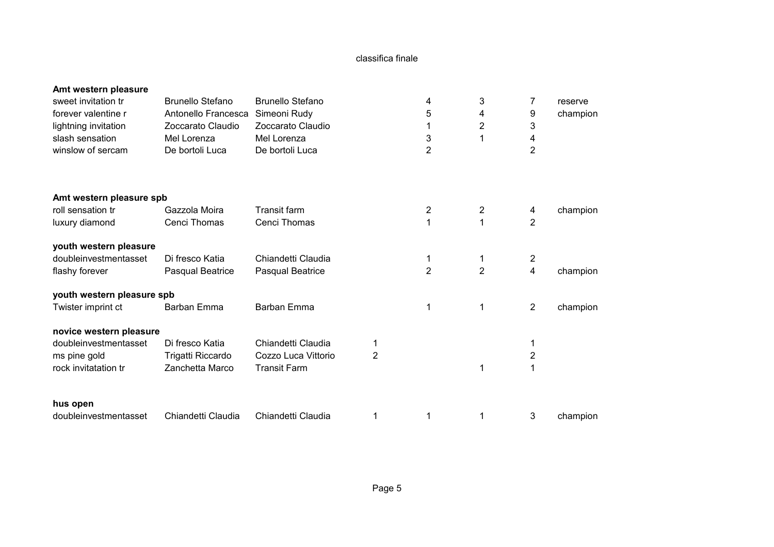| Amt western pleasure       |                         |                         |                |                |                |                         |          |
|----------------------------|-------------------------|-------------------------|----------------|----------------|----------------|-------------------------|----------|
| sweet invitation tr        | <b>Brunello Stefano</b> | <b>Brunello Stefano</b> |                | 4              | 3              | 7                       | reserve  |
| forever valentine r        | Antonello Francesca     | Simeoni Rudy            |                | 5              | 4              | 9                       | champion |
| lightning invitation       | Zoccarato Claudio       | Zoccarato Claudio       |                | 1              | $\overline{2}$ | 3                       |          |
| slash sensation            | Mel Lorenza             | Mel Lorenza             |                | 3              | 1              | 4                       |          |
| winslow of sercam          | De bortoli Luca         | De bortoli Luca         |                | $\overline{2}$ |                | $\overline{2}$          |          |
|                            |                         |                         |                |                |                |                         |          |
| Amt western pleasure spb   |                         |                         |                |                |                |                         |          |
| roll sensation tr          | Gazzola Moira           | <b>Transit farm</b>     |                | 2              | 2              | 4                       | champion |
| luxury diamond             | Cenci Thomas            | Cenci Thomas            |                | 1              | 1              | $\overline{2}$          |          |
| youth western pleasure     |                         |                         |                |                |                |                         |          |
| doubleinvestmentasset      | Di fresco Katia         | Chiandetti Claudia      |                | 1              | 1              | $\overline{2}$          |          |
| flashy forever             | <b>Pasqual Beatrice</b> | Pasqual Beatrice        |                | $\overline{2}$ | $\overline{2}$ | 4                       | champion |
| youth western pleasure spb |                         |                         |                |                |                |                         |          |
| Twister imprint ct         | Barban Emma             | Barban Emma             |                | 1              | 1              | $\overline{2}$          | champion |
| novice western pleasure    |                         |                         |                |                |                |                         |          |
| doubleinvestmentasset      | Di fresco Katia         | Chiandetti Claudia      |                |                |                |                         |          |
| ms pine gold               | Trigatti Riccardo       | Cozzo Luca Vittorio     | $\overline{2}$ |                |                | $\overline{\mathbf{c}}$ |          |
| rock invitatation tr       | Zanchetta Marco         | <b>Transit Farm</b>     |                |                | 1              |                         |          |
| hus open                   |                         |                         |                |                |                |                         |          |
| doubleinvestmentasset      | Chiandetti Claudia      | Chiandetti Claudia      | 1              | 1              | 1              | 3                       | champion |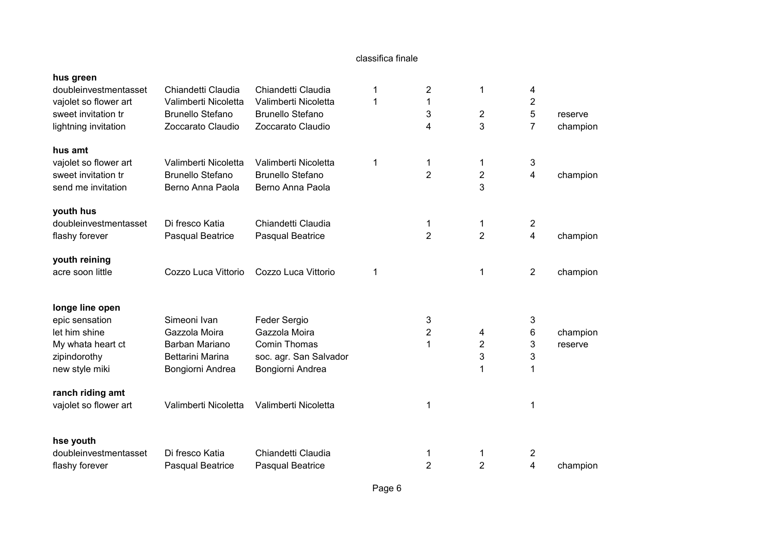| hus green<br>doubleinvestmentasset<br>vajolet so flower art<br>sweet invitation tr | Chiandetti Claudia<br>Valimberti Nicoletta<br><b>Brunello Stefano</b> | Chiandetti Claudia<br>Valimberti Nicoletta<br><b>Brunello Stefano</b> | 1<br>1 | 2<br>1<br>3         | 1<br>$\overline{\mathbf{c}}$      | 4<br>$\overline{\mathbf{c}}$<br>5 | reserve  |
|------------------------------------------------------------------------------------|-----------------------------------------------------------------------|-----------------------------------------------------------------------|--------|---------------------|-----------------------------------|-----------------------------------|----------|
| lightning invitation                                                               | Zoccarato Claudio                                                     | Zoccarato Claudio                                                     |        | 4                   | 3                                 | 7                                 | champion |
| hus amt<br>vajolet so flower art<br>sweet invitation tr<br>send me invitation      | Valimberti Nicoletta<br><b>Brunello Stefano</b><br>Berno Anna Paola   | Valimberti Nicoletta<br><b>Brunello Stefano</b><br>Berno Anna Paola   | 1      | 1<br>$\overline{2}$ | 1<br>$\overline{\mathbf{c}}$<br>3 | 3<br>4                            | champion |
| youth hus<br>doubleinvestmentasset<br>flashy forever                               | Di fresco Katia<br><b>Pasqual Beatrice</b>                            | Chiandetti Claudia<br>Pasqual Beatrice                                |        | 1<br>$\overline{2}$ | 1<br>$\overline{2}$               | 2<br>4                            | champion |
| youth reining<br>acre soon little                                                  | Cozzo Luca Vittorio                                                   | Cozzo Luca Vittorio                                                   | 1      |                     | 1                                 | $\overline{2}$                    | champion |
| longe line open                                                                    |                                                                       |                                                                       |        |                     |                                   |                                   |          |
| epic sensation                                                                     | Simeoni Ivan                                                          | Feder Sergio                                                          |        | 3                   |                                   | 3                                 |          |
| let him shine                                                                      | Gazzola Moira                                                         | Gazzola Moira                                                         |        | $\overline{2}$      | 4                                 | 6                                 | champion |
| My whata heart ct                                                                  | Barban Mariano                                                        | Comin Thomas                                                          |        | 1                   | $\overline{2}$                    | 3                                 | reserve  |
| zipindorothy                                                                       | Bettarini Marina                                                      | soc. agr. San Salvador                                                |        |                     | 3                                 | 3                                 |          |
| new style miki                                                                     | Bongiorni Andrea                                                      | Bongiorni Andrea                                                      |        |                     | 1                                 | 1                                 |          |
| ranch riding amt                                                                   |                                                                       |                                                                       |        |                     |                                   |                                   |          |
| vajolet so flower art                                                              | Valimberti Nicoletta                                                  | Valimberti Nicoletta                                                  |        | 1                   |                                   | 1                                 |          |
| hse youth                                                                          |                                                                       |                                                                       |        |                     |                                   |                                   |          |
| doubleinvestmentasset                                                              | Di fresco Katia                                                       | Chiandetti Claudia                                                    |        | 1                   | 1                                 | 2                                 |          |
| flashy forever                                                                     | Pasqual Beatrice                                                      | Pasqual Beatrice                                                      |        | $\overline{2}$      | $\overline{2}$                    | 4                                 | champion |